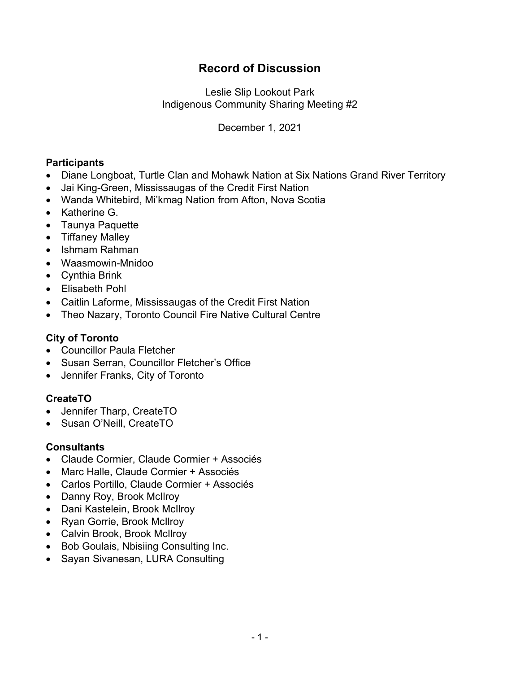# **Record of Discussion**

Leslie Slip Lookout Park Indigenous Community Sharing Meeting #2

December 1, 2021

# **Participants**

- Diane Longboat, Turtle Clan and Mohawk Nation at Six Nations Grand River Territory
- Jai King-Green, Mississaugas of the Credit First Nation
- Wanda Whitebird, Mi'kmag Nation from Afton, Nova Scotia
- Katherine G.
- Taunya Paquette
- Tiffaney Malley
- Ishmam Rahman
- Waasmowin-Mnidoo
- Cynthia Brink
- Elisabeth Pohl
- Caitlin Laforme, Mississaugas of the Credit First Nation
- Theo Nazary, Toronto Council Fire Native Cultural Centre

### **City of Toronto**

- Councillor Paula Fletcher
- Susan Serran, Councillor Fletcher's Office
- Jennifer Franks, City of Toronto

# **CreateTO**

- Jennifer Tharp, CreateTO
- Susan O'Neill, CreateTO

#### **Consultants**

- Claude Cormier, Claude Cormier + Associés
- Marc Halle, Claude Cormier + Associés
- Carlos Portillo, Claude Cormier + Associés
- Danny Roy, Brook McIlroy
- Dani Kastelein, Brook McIlroy
- Ryan Gorrie, Brook McIlroy
- Calvin Brook, Brook McIlroy
- Bob Goulais, Nbisiing Consulting Inc.
- Sayan Sivanesan, LURA Consulting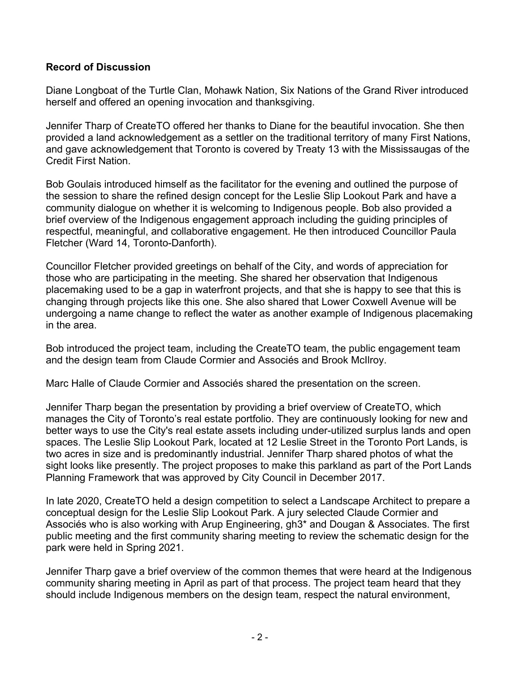### **Record of Discussion**

Diane Longboat of the Turtle Clan, Mohawk Nation, Six Nations of the Grand River introduced herself and offered an opening invocation and thanksgiving.

Jennifer Tharp of CreateTO offered her thanks to Diane for the beautiful invocation. She then provided a land acknowledgement as a settler on the traditional territory of many First Nations, and gave acknowledgement that Toronto is covered by Treaty 13 with the Mississaugas of the Credit First Nation.

Bob Goulais introduced himself as the facilitator for the evening and outlined the purpose of the session to share the refined design concept for the Leslie Slip Lookout Park and have a community dialogue on whether it is welcoming to Indigenous people. Bob also provided a brief overview of the Indigenous engagement approach including the guiding principles of respectful, meaningful, and collaborative engagement. He then introduced Councillor Paula Fletcher (Ward 14, Toronto-Danforth).

Councillor Fletcher provided greetings on behalf of the City, and words of appreciation for those who are participating in the meeting. She shared her observation that Indigenous placemaking used to be a gap in waterfront projects, and that she is happy to see that this is changing through projects like this one. She also shared that Lower Coxwell Avenue will be undergoing a name change to reflect the water as another example of Indigenous placemaking in the area.

Bob introduced the project team, including the CreateTO team, the public engagement team and the design team from Claude Cormier and Associés and Brook McIlroy.

Marc Halle of Claude Cormier and Associés shared the presentation on the screen.

Jennifer Tharp began the presentation by providing a brief overview of CreateTO, which manages the City of Toronto's real estate portfolio. They are continuously looking for new and better ways to use the City's real estate assets including under-utilized surplus lands and open spaces. The Leslie Slip Lookout Park, located at 12 Leslie Street in the Toronto Port Lands, is two acres in size and is predominantly industrial. Jennifer Tharp shared photos of what the sight looks like presently. The project proposes to make this parkland as part of the Port Lands Planning Framework that was approved by City Council in December 2017.

In late 2020, CreateTO held a design competition to select a Landscape Architect to prepare a conceptual design for the Leslie Slip Lookout Park. A jury selected Claude Cormier and Associés who is also working with Arup Engineering, gh3\* and Dougan & Associates. The first public meeting and the first community sharing meeting to review the schematic design for the park were held in Spring 2021.

Jennifer Tharp gave a brief overview of the common themes that were heard at the Indigenous community sharing meeting in April as part of that process. The project team heard that they should include Indigenous members on the design team, respect the natural environment,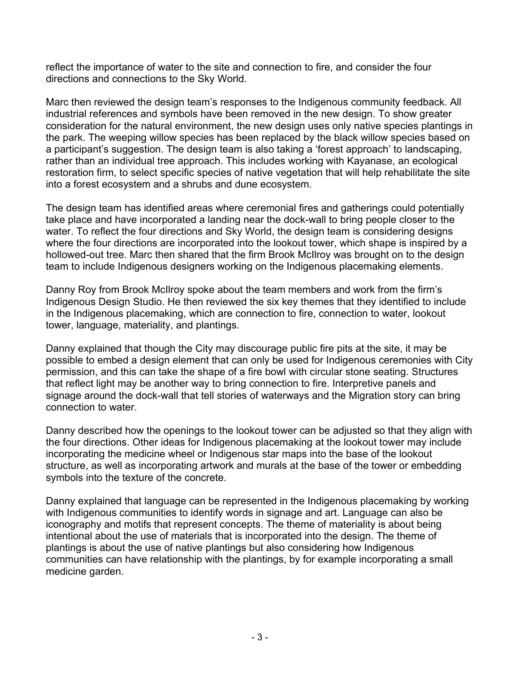reflect the importance of water to the site and connection to fire, and consider the four directions and connections to the Sky World.

Marc then reviewed the design team's responses to the Indigenous community feedback. All industrial references and symbols have been removed in the new design. To show greater consideration for the natural environment, the new design uses only native species plantings in the park. The weeping willow species has been replaced by the black willow species based on a participant's suggestion. The design team is also taking a 'forest approach' to landscaping, rather than an individual tree approach. This includes working with Kayanase, an ecological restoration firm, to select specific species of native vegetation that will help rehabilitate the site into a forest ecosystem and a shrubs and dune ecosystem.

The design team has identified areas where ceremonial fires and gatherings could potentially take place and have incorporated a landing near the dock-wall to bring people closer to the water. To reflect the four directions and Sky World, the design team is considering designs where the four directions are incorporated into the lookout tower, which shape is inspired by a hollowed-out tree. Marc then shared that the firm Brook McIlroy was brought on to the design team to include Indigenous designers working on the Indigenous placemaking elements.

Danny Roy from Brook McIlroy spoke about the team members and work from the firm's Indigenous Design Studio. He then reviewed the six key themes that they identified to include in the Indigenous placemaking, which are connection to fire, connection to water, lookout tower, language, materiality, and plantings.

Danny explained that though the City may discourage public fire pits at the site, it may be possible to embed a design element that can only be used for Indigenous ceremonies with City permission, and this can take the shape of a fire bowl with circular stone seating. Structures that reflect light may be another way to bring connection to fire. Interpretive panels and signage around the dock-wall that tell stories of waterways and the Migration story can bring connection to water.

Danny described how the openings to the lookout tower can be adjusted so that they align with the four directions. Other ideas for Indigenous placemaking at the lookout tower may include incorporating the medicine wheel or Indigenous star maps into the base of the lookout structure, as well as incorporating artwork and murals at the base of the tower or embedding symbols into the texture of the concrete.

Danny explained that language can be represented in the Indigenous placemaking by working with Indigenous communities to identify words in signage and art. Language can also be iconography and motifs that represent concepts. The theme of materiality is about being intentional about the use of materials that is incorporated into the design. The theme of plantings is about the use of native plantings but also considering how Indigenous communities can have relationship with the plantings, by for example incorporating a small medicine garden.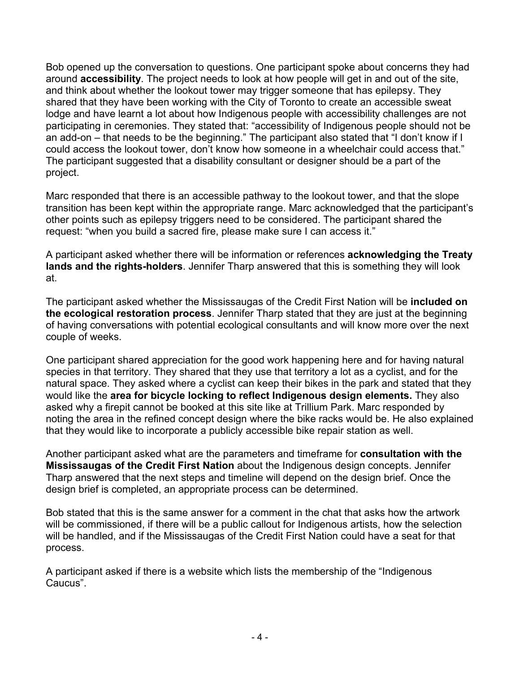Bob opened up the conversation to questions. One participant spoke about concerns they had around **accessibility**. The project needs to look at how people will get in and out of the site, and think about whether the lookout tower may trigger someone that has epilepsy. They shared that they have been working with the City of Toronto to create an accessible sweat lodge and have learnt a lot about how Indigenous people with accessibility challenges are not participating in ceremonies. They stated that: "accessibility of Indigenous people should not be an add-on – that needs to be the beginning." The participant also stated that "I don't know if I could access the lookout tower, don't know how someone in a wheelchair could access that." The participant suggested that a disability consultant or designer should be a part of the project.

Marc responded that there is an accessible pathway to the lookout tower, and that the slope transition has been kept within the appropriate range. Marc acknowledged that the participant's other points such as epilepsy triggers need to be considered. The participant shared the request: "when you build a sacred fire, please make sure I can access it."

A participant asked whether there will be information or references **acknowledging the Treaty lands and the rights-holders**. Jennifer Tharp answered that this is something they will look at.

The participant asked whether the Mississaugas of the Credit First Nation will be **included on the ecological restoration process**. Jennifer Tharp stated that they are just at the beginning of having conversations with potential ecological consultants and will know more over the next couple of weeks.

One participant shared appreciation for the good work happening here and for having natural species in that territory. They shared that they use that territory a lot as a cyclist, and for the natural space. They asked where a cyclist can keep their bikes in the park and stated that they would like the **area for bicycle locking to reflect Indigenous design elements.** They also asked why a firepit cannot be booked at this site like at Trillium Park. Marc responded by noting the area in the refined concept design where the bike racks would be. He also explained that they would like to incorporate a publicly accessible bike repair station as well.

Another participant asked what are the parameters and timeframe for **consultation with the Mississaugas of the Credit First Nation** about the Indigenous design concepts. Jennifer Tharp answered that the next steps and timeline will depend on the design brief. Once the design brief is completed, an appropriate process can be determined.

Bob stated that this is the same answer for a comment in the chat that asks how the artwork will be commissioned, if there will be a public callout for Indigenous artists, how the selection will be handled, and if the Mississaugas of the Credit First Nation could have a seat for that process.

A participant asked if there is a website which lists the membership of the "Indigenous Caucus".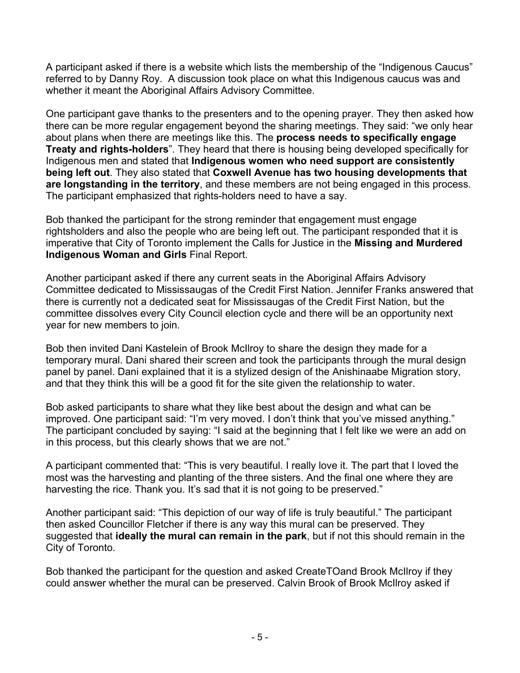A participant asked if there is a website which lists the membership of the "Indigenous Caucus" referred to by Danny Roy. A discussion took place on what this Indigenous caucus was and whether it meant the Aboriginal Affairs Advisory Committee.

One participant gave thanks to the presenters and to the opening prayer. They then asked how there can be more regular engagement beyond the sharing meetings. They said: "we only hear about plans when there are meetings like this. The **process needs to specifically engage Treaty and rights-holders**". They heard that there is housing being developed specifically for Indigenous men and stated that **Indigenous women who need support are consistently being left out**. They also stated that **Coxwell Avenue has two housing developments that are longstanding in the territory**, and these members are not being engaged in this process. The participant emphasized that rights-holders need to have a say.

Bob thanked the participant for the strong reminder that engagement must engage rightsholders and also the people who are being left out. The participant responded that it is imperative that City of Toronto implement the Calls for Justice in the **Missing and Murdered Indigenous Woman and Girls** Final Report.

Another participant asked if there any current seats in the Aboriginal Affairs Advisory Committee dedicated to Mississaugas of the Credit First Nation. Jennifer Franks answered that there is currently not a dedicated seat for Mississaugas of the Credit First Nation, but the committee dissolves every City Council election cycle and there will be an opportunity next year for new members to join.

Bob then invited Dani Kastelein of Brook McIlroy to share the design they made for a temporary mural. Dani shared their screen and took the participants through the mural design panel by panel. Dani explained that it is a stylized design of the Anishinaabe Migration story, and that they think this will be a good fit for the site given the relationship to water.

Bob asked participants to share what they like best about the design and what can be improved. One participant said: "I'm very moved. I don't think that you've missed anything." The participant concluded by saying: "I said at the beginning that I felt like we were an add on in this process, but this clearly shows that we are not."

A participant commented that: "This is very beautiful. I really love it. The part that I loved the most was the harvesting and planting of the three sisters. And the final one where they are harvesting the rice. Thank you. It's sad that it is not going to be preserved."

Another participant said: "This depiction of our way of life is truly beautiful." The participant then asked Councillor Fletcher if there is any way this mural can be preserved. They suggested that **ideally the mural can remain in the park**, but if not this should remain in the City of Toronto.

Bob thanked the participant for the question and asked CreateTOand Brook McIlroy if they could answer whether the mural can be preserved. Calvin Brook of Brook McIlroy asked if